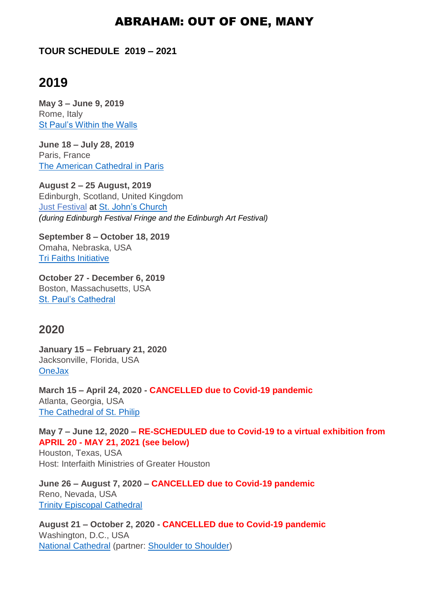## ABRAHAM: OUT OF ONE, MANY

#### **TOUR SCHEDULE 2019 – 2021**

# **2019**

**May 3 – June 9, 2019** Rome, Italy [St Paul's Within the Walls](http://www.stpaulsrome.it/)

**June 18 – July 28, 2019** Paris, France [The American Cathedral in Paris](http://amcathparis.com/)

**August 2 – 25 August, 2019** Edinburgh, Scotland, United Kingdom [Just Festival](https://www.just-festival.org/) at [St. John's Church](http://www.stjohns-edinburgh.org.uk/) *(during Edinburgh Festival Fringe and the Edinburgh Art Festival)*

**September 8 – October 18, 2019** Omaha, Nebraska, USA [Tri Faiths Initiative](https://trifaith.org/)

**October 27 - December 6, 2019** Boston, Massachusetts, USA [St. Paul's Cathedral](https://www.stpaulboston.org/)

## **2020**

**January 15 – February 21, 2020** Jacksonville, Florida, USA **[OneJax](https://www.unf.edu/onejax/)** 

**March 15 – April 24, 2020 - CANCELLED due to Covid-19 pandemic** Atlanta, Georgia, USA The Cathedral [of St. Philip](https://www.cathedralatl.org/)

**May 7 – June 12, 2020 – RE-SCHEDULED due to Covid-19 to a virtual exhibition from APRIL 20 - MAY 21, 2021 (see below)** Houston, Texas, USA

Host: Interfaith Ministries of Greater Houston

**June 26 – August 7, 2020 – CANCELLED due to Covid-19 pandemic** Reno, Nevada, USA [Trinity Episcopal Cathedral](https://trinityreno.org/)

**August 21 – October 2, 2020 - CANCELLED due to Covid-19 pandemic** Washington, D.C., USA [National Cathedral](https://cathedral.org/) (partner: [Shoulder to Shoulder\)](https://www.shouldertoshouldercampaign.org/)